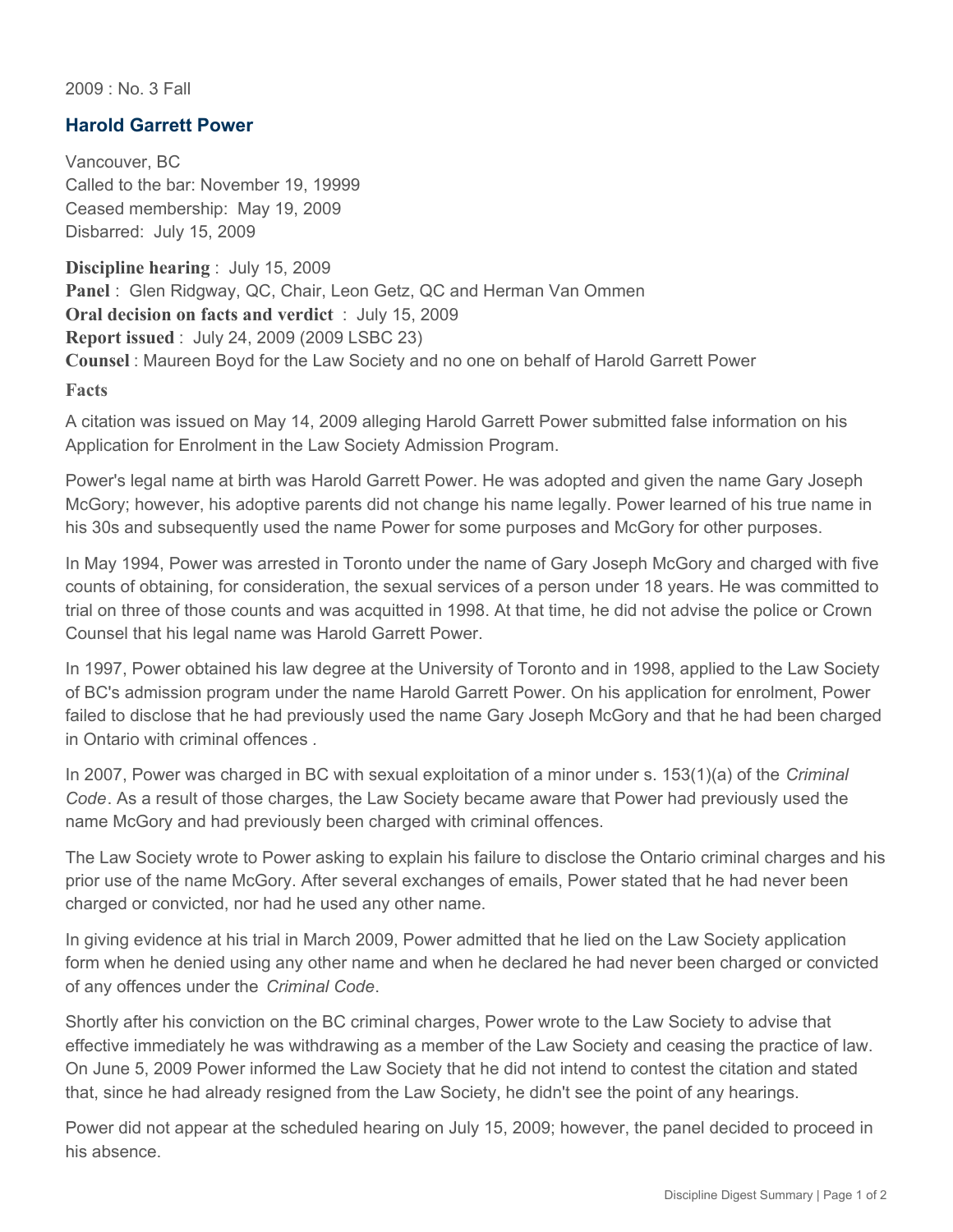2009 : No. 3 Fall

## **Harold Garrett Power**

Vancouver, BC Called to the bar: November 19, 19999 Ceased membership: May 19, 2009 Disbarred: July 15, 2009

**Discipline hearing** : July 15, 2009 **Panel** : Glen Ridgway, QC, Chair, Leon Getz, QC and Herman Van Ommen **Oral decision on facts and verdict** : July 15, 2009 **Report issued** : July 24, 2009 (2009 LSBC 23) **Counsel** : Maureen Boyd for the Law Society and no one on behalf of Harold Garrett Power

**Facts**

A citation was issued on May 14, 2009 alleging Harold Garrett Power submitted false information on his Application for Enrolment in the Law Society Admission Program.

Power's legal name at birth was Harold Garrett Power. He was adopted and given the name Gary Joseph McGory; however, his adoptive parents did not change his name legally. Power learned of his true name in his 30s and subsequently used the name Power for some purposes and McGory for other purposes.

In May 1994, Power was arrested in Toronto under the name of Gary Joseph McGory and charged with five counts of obtaining, for consideration, the sexual services of a person under 18 years. He was committed to trial on three of those counts and was acquitted in 1998. At that time, he did not advise the police or Crown Counsel that his legal name was Harold Garrett Power.

In 1997, Power obtained his law degree at the University of Toronto and in 1998, applied to the Law Society of BC's admission program under the name Harold Garrett Power. On his application for enrolment, Power failed to disclose that he had previously used the name Gary Joseph McGory and that he had been charged in Ontario with criminal offences *.*

In 2007, Power was charged in BC with sexual exploitation of a minor under s. 153(1)(a) of the *Criminal Code*. As a result of those charges, the Law Society became aware that Power had previously used the name McGory and had previously been charged with criminal offences.

The Law Society wrote to Power asking to explain his failure to disclose the Ontario criminal charges and his prior use of the name McGory. After several exchanges of emails, Power stated that he had never been charged or convicted, nor had he used any other name.

In giving evidence at his trial in March 2009, Power admitted that he lied on the Law Society application form when he denied using any other name and when he declared he had never been charged or convicted of any offences under the *Criminal Code*.

Shortly after his conviction on the BC criminal charges, Power wrote to the Law Society to advise that effective immediately he was withdrawing as a member of the Law Society and ceasing the practice of law. On June 5, 2009 Power informed the Law Society that he did not intend to contest the citation and stated that, since he had already resigned from the Law Society, he didn't see the point of any hearings.

Power did not appear at the scheduled hearing on July 15, 2009; however, the panel decided to proceed in his absence.